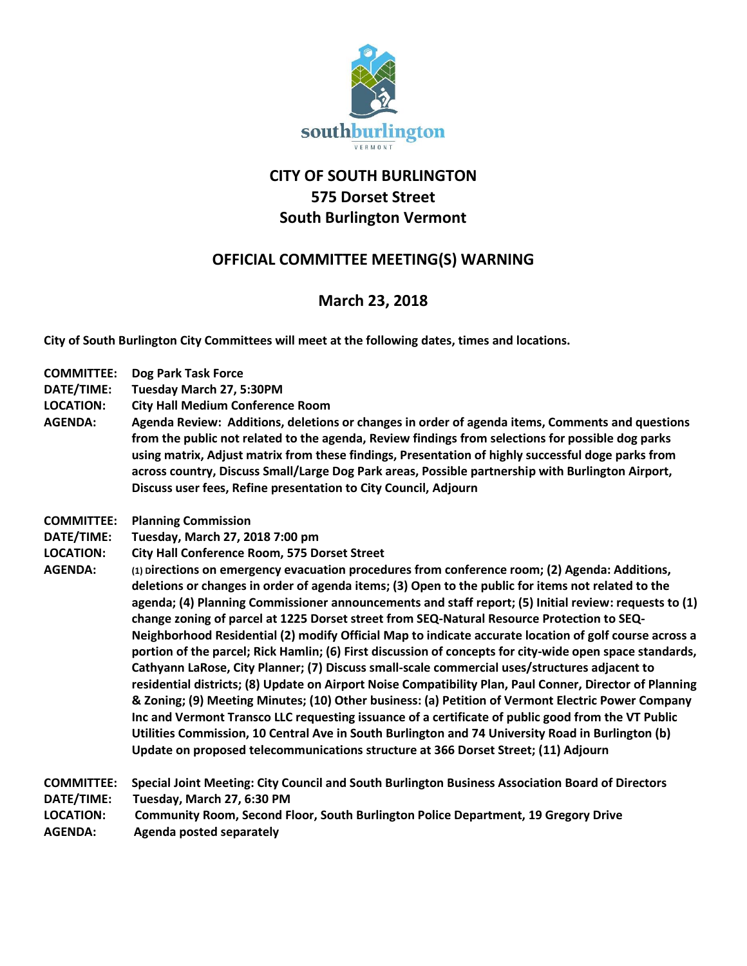

## **CITY OF SOUTH BURLINGTON 575 Dorset Street South Burlington Vermont**

## **OFFICIAL COMMITTEE MEETING(S) WARNING**

## **March 23, 2018**

**City of South Burlington City Committees will meet at the following dates, times and locations.** 

- **COMMITTEE: Dog Park Task Force**
- **DATE/TIME: Tuesday March 27, 5:30PM**
- **LOCATION: City Hall Medium Conference Room**
- **AGENDA: Agenda Review: Additions, deletions or changes in order of agenda items, Comments and questions from the public not related to the agenda, Review findings from selections for possible dog parks using matrix, Adjust matrix from these findings, Presentation of highly successful doge parks from across country, Discuss Small/Large Dog Park areas, Possible partnership with Burlington Airport, Discuss user fees, Refine presentation to City Council, Adjourn**
- **COMMITTEE: Planning Commission**
- **DATE/TIME: Tuesday, March 27, 2018 7:00 pm**
- **LOCATION: City Hall Conference Room, 575 Dorset Street**
- AGENDA: (1) pirections on emergency evacuation procedures from conference room; (2) Agenda: Additions, **deletions or changes in order of agenda items; (3) Open to the public for items not related to the agenda; (4) Planning Commissioner announcements and staff report; (5) Initial review: requests to (1) change zoning of parcel at 1225 Dorset street from SEQ-Natural Resource Protection to SEQ-Neighborhood Residential (2) modify Official Map to indicate accurate location of golf course across a portion of the parcel; Rick Hamlin; (6) First discussion of concepts for city-wide open space standards, Cathyann LaRose, City Planner; (7) Discuss small-scale commercial uses/structures adjacent to residential districts; (8) Update on Airport Noise Compatibility Plan, Paul Conner, Director of Planning & Zoning; (9) Meeting Minutes; (10) Other business: (a) Petition of Vermont Electric Power Company Inc and Vermont Transco LLC requesting issuance of a certificate of public good from the VT Public Utilities Commission, 10 Central Ave in South Burlington and 74 University Road in Burlington (b) Update on proposed telecommunications structure at 366 Dorset Street; (11) Adjourn**

| <b>COMMITTEE:</b> | Special Joint Meeting: City Council and South Burlington Business Association Board of Directors |
|-------------------|--------------------------------------------------------------------------------------------------|
| DATE/TIME:        | Tuesday, March 27, 6:30 PM                                                                       |
| <b>LOCATION:</b>  | Community Room, Second Floor, South Burlington Police Department, 19 Gregory Drive               |
| <b>AGENDA:</b>    | Agenda posted separately                                                                         |